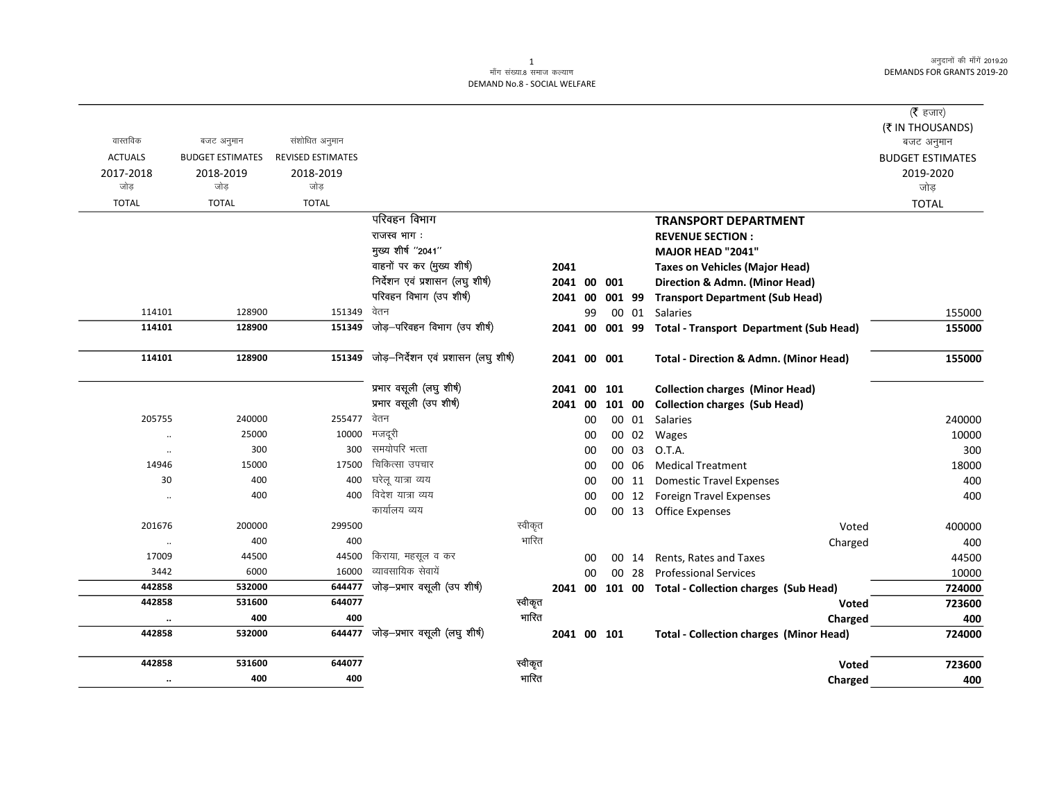### ्<br>माँग संख्या.8 समाज कल्याण DEMAND No.8 - SOCIAL WELFARE

| वास्तविक             | बजट अनुमान              | संशोधित अनुमान           |                                       |         |             |    |        |        |                                                      | ( $\bar{\tau}$ हजार)<br>(₹ IN THOUSANDS)<br>बजट अनुमान |
|----------------------|-------------------------|--------------------------|---------------------------------------|---------|-------------|----|--------|--------|------------------------------------------------------|--------------------------------------------------------|
| <b>ACTUALS</b>       | <b>BUDGET ESTIMATES</b> | <b>REVISED ESTIMATES</b> |                                       |         |             |    |        |        |                                                      | <b>BUDGET ESTIMATES</b>                                |
| 2017-2018            | 2018-2019               | 2018-2019                |                                       |         |             |    |        |        |                                                      | 2019-2020                                              |
| जोड़                 | जोड़                    | जोड़                     |                                       |         |             |    |        |        |                                                      | जोड                                                    |
| <b>TOTAL</b>         | <b>TOTAL</b>            | <b>TOTAL</b>             |                                       |         |             |    |        |        |                                                      | <b>TOTAL</b>                                           |
|                      |                         |                          | परिवहन विभाग                          |         |             |    |        |        | <b>TRANSPORT DEPARTMENT</b>                          |                                                        |
|                      |                         |                          | राजस्व भाग:                           |         |             |    |        |        | <b>REVENUE SECTION:</b>                              |                                                        |
|                      |                         |                          | मुख्य शीर्ष "2041"                    |         |             |    |        |        | MAJOR HEAD "2041"                                    |                                                        |
|                      |                         |                          | वाहनों पर कर (मुख्य शीर्ष)            |         | 2041        |    |        |        | <b>Taxes on Vehicles (Major Head)</b>                |                                                        |
|                      |                         |                          | निर्देशन एवं प्रशासन (लघु शीर्ष)      |         | 2041 00     |    | 001    |        | Direction & Admn. (Minor Head)                       |                                                        |
|                      |                         |                          | परिवहन विभाग (उप शीर्ष)               |         | 2041 00     |    |        | 001 99 | <b>Transport Department (Sub Head)</b>               |                                                        |
| 114101               | 128900                  | 151349                   | वेतन                                  |         |             | 99 |        | 00 01  | Salaries                                             | 155000                                                 |
| 114101               | 128900                  | 151349                   | जोड़–परिवहन विभाग (उप शीर्ष)          |         | 2041 00     |    | 001 99 |        | <b>Total - Transport Department (Sub Head)</b>       | 155000                                                 |
| 114101               | 128900                  | 151349                   | जोड़-निर्देशन एवं प्रशासन (लघु शीर्ष) |         | 2041 00     |    | 001    |        | <b>Total - Direction &amp; Admn. (Minor Head)</b>    | 155000                                                 |
|                      |                         |                          | प्रभार वसूली (लघु शीर्ष)              |         | 2041 00     |    | 101    |        | <b>Collection charges (Minor Head)</b>               |                                                        |
|                      |                         |                          | प्रभार वसूली (उप शीर्ष)               |         | 2041 00     |    |        | 101 00 | <b>Collection charges (Sub Head)</b>                 |                                                        |
| 205755               | 240000                  | 255477                   | वेतन                                  |         |             | 00 |        | 00 01  | Salaries                                             | 240000                                                 |
| $\ddot{\phantom{0}}$ | 25000                   | 10000                    | मजदूरी                                |         |             | 00 |        | 00 02  | Wages                                                | 10000                                                  |
| $\ddotsc$            | 300                     | 300                      | समयोपरि भत्ता                         |         |             | 00 | 00     | 03     | O.T.A.                                               | 300                                                    |
| 14946                | 15000                   | 17500                    | चिकित्सा उपचार                        |         |             | 00 |        | 00 06  | <b>Medical Treatment</b>                             | 18000                                                  |
| 30                   | 400                     | 400                      | घरेलू यात्रा व्यय                     |         |             | 00 |        | 00 11  | <b>Domestic Travel Expenses</b>                      | 400                                                    |
| $\ddot{\phantom{0}}$ | 400                     | 400                      | विदेश यात्रा व्यय                     |         |             | 00 |        |        | 00 12 Foreign Travel Expenses                        | 400                                                    |
|                      |                         |                          | कार्यालय व्यय                         |         |             | 00 |        |        | 00 13 Office Expenses                                |                                                        |
| 201676               | 200000                  | 299500                   |                                       | स्वीकृत |             |    |        |        | Voted                                                | 400000                                                 |
| $\ddot{\phantom{0}}$ | 400                     | 400                      |                                       | भारित   |             |    |        |        | Charged                                              | 400                                                    |
| 17009                | 44500                   | 44500                    | किराया, महसूल व कर                    |         |             | 00 |        | 00 14  | Rents, Rates and Taxes                               | 44500                                                  |
| 3442                 | 6000                    | 16000                    | व्यावसायिक सेवायें                    |         |             | 00 |        | 00 28  | <b>Professional Services</b>                         | 10000                                                  |
| 442858               | 532000                  | 644477                   | जोड़-प्रभार वसूली (उप शीर्ष)          |         |             |    |        |        | 2041 00 101 00 Total - Collection charges (Sub Head) | 724000                                                 |
| 442858               | 531600                  | 644077                   |                                       | स्वीकृत |             |    |        |        | <b>Voted</b>                                         | 723600                                                 |
| $\ddot{\phantom{0}}$ | 400                     | 400                      |                                       | भारित   |             |    |        |        | Charged                                              | 400                                                    |
| 442858               | 532000                  |                          | 644477 जोड़-प्रभार वसूली (लघु शीर्ष)  |         | 2041 00 101 |    |        |        | <b>Total - Collection charges (Minor Head)</b>       | 724000                                                 |
| 442858               | 531600                  | 644077                   |                                       | स्वीकृत |             |    |        |        | Voted                                                | 723600                                                 |
| $\ddot{\phantom{a}}$ | 400                     | 400                      |                                       | भारित   |             |    |        |        | Charged                                              | 400                                                    |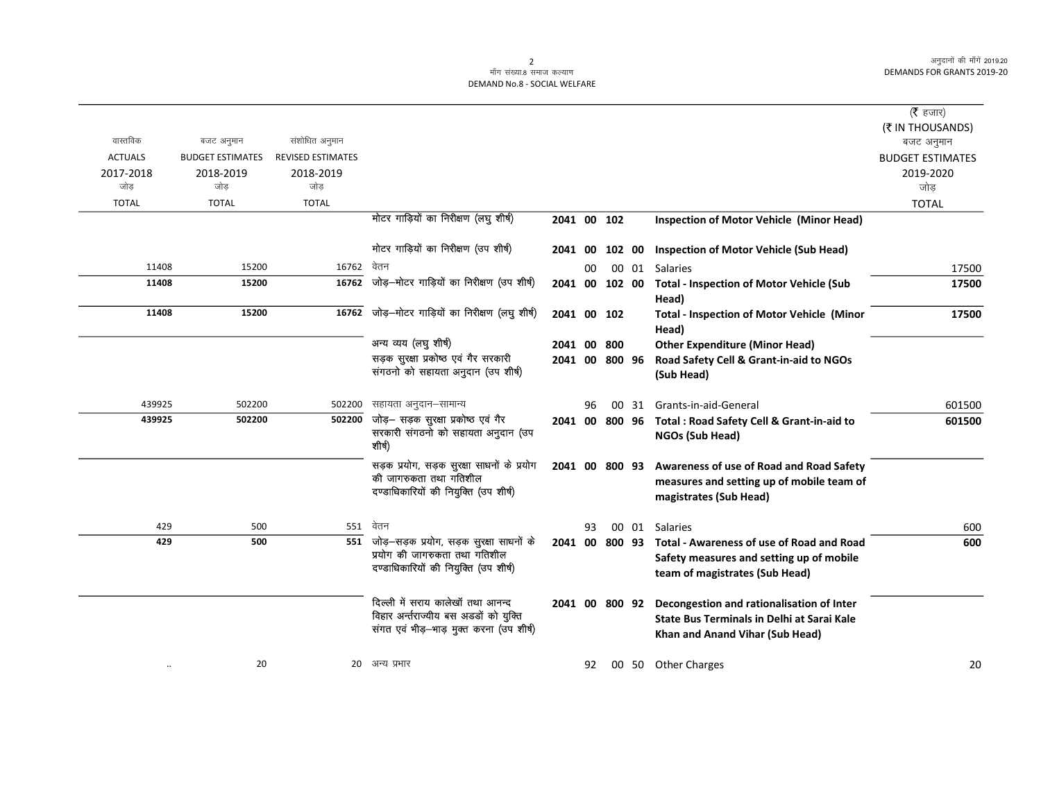| ( <b>रै</b> हजार)<br>(₹ IN THOUSANDS)       |                                                                                                                                |       |        |    |                |                                                                                                                        |                                              |                                             |                                    |
|---------------------------------------------|--------------------------------------------------------------------------------------------------------------------------------|-------|--------|----|----------------|------------------------------------------------------------------------------------------------------------------------|----------------------------------------------|---------------------------------------------|------------------------------------|
| बजट अनुमान                                  |                                                                                                                                |       |        |    |                |                                                                                                                        | संशोधित अनुमान                               | बजट अनुमान                                  | वास्तविक                           |
| <b>BUDGET ESTIMATES</b><br>2019-2020<br>जोड |                                                                                                                                |       |        |    |                |                                                                                                                        | <b>REVISED ESTIMATES</b><br>2018-2019<br>जोड | <b>BUDGET ESTIMATES</b><br>2018-2019<br>जोड | <b>ACTUALS</b><br>2017-2018<br>जोड |
| <b>TOTAL</b>                                |                                                                                                                                |       |        |    |                |                                                                                                                        | <b>TOTAL</b>                                 | <b>TOTAL</b>                                | <b>TOTAL</b>                       |
|                                             | <b>Inspection of Motor Vehicle (Minor Head)</b>                                                                                |       |        |    | 2041 00 102    | मोटर गाड़ियों का निरीक्षण (लघु शीर्ष)                                                                                  |                                              |                                             |                                    |
|                                             | <b>Inspection of Motor Vehicle (Sub Head)</b>                                                                                  |       | 102 00 |    | 2041 00        | मोटर गाड़ियों का निरीक्षण (उप शीर्ष)                                                                                   |                                              |                                             |                                    |
| 17500                                       | Salaries                                                                                                                       | 00 01 |        | 00 |                | वेतन                                                                                                                   | 16762                                        | 15200                                       | 11408                              |
| 17500                                       | <b>Total - Inspection of Motor Vehicle (Sub</b><br>Head)                                                                       |       |        |    | 2041 00 102 00 | जोड़—मोटर गाड़ियों का निरीक्षण (उप शीर्ष)                                                                              | 16762                                        | 15200                                       | 11408                              |
| 17500                                       | <b>Total - Inspection of Motor Vehicle (Minor</b><br>Head)                                                                     |       |        |    | 2041 00 102    | जोड़—मोटर गाड़ियों का निरीक्षण (लघु शीर्ष)                                                                             | 16762                                        | 15200                                       | 11408                              |
|                                             | <b>Other Expenditure (Minor Head)</b>                                                                                          |       | 800    |    | 2041 00        | अन्य व्यय (लघु शीर्ष)                                                                                                  |                                              |                                             |                                    |
|                                             | Road Safety Cell & Grant-in-aid to NGOs<br>(Sub Head)                                                                          |       |        |    | 2041 00 800 96 | सड़क सुरक्षा प्रकोष्ठ एवं गैर सरकारी<br>संगठनो को सहायता अनुदान (उप शीर्ष)                                             |                                              |                                             |                                    |
| 601500                                      | Grants-in-aid-General                                                                                                          | 00 31 |        | 96 |                | सहायता अनुदान–सामान्य                                                                                                  | 502200                                       | 502200                                      | 439925                             |
| 601500                                      | Total : Road Safety Cell & Grant-in-aid to<br>NGOs (Sub Head)                                                                  |       |        |    | 2041 00 800 96 | जोड़— सड़क सुरक्षा प्रकोष्ठ एवं गैर<br>सरकारी संगठनो को सहायता अनुदान (उप<br>शीर्ष)                                    | 502200                                       | 502200                                      | 439925                             |
|                                             | Awareness of use of Road and Road Safety<br>measures and setting up of mobile team of<br>magistrates (Sub Head)                |       |        |    | 2041 00 800 93 | सड़क प्रयोग, सड़क सुरक्षा साधनों के प्रयोग<br>की जागरुकता तथा गतिशील<br>दण्डाधिकारियों की नियुक्ति (उप शीर्ष)          |                                              |                                             |                                    |
| 600                                         | Salaries                                                                                                                       | 00 01 |        | 93 |                | वेतन                                                                                                                   | 551                                          | 500                                         | 429                                |
| 600                                         | <b>Total - Awareness of use of Road and Road</b><br>Safety measures and setting up of mobile<br>team of magistrates (Sub Head) |       |        |    | 2041 00 800 93 | 551 जोड़-सड़क प्रयोग, सड़क सुरक्षा साधनों के<br>प्रयोग की जागरुकता तथा गतिशील<br>दण्डाधिकारियों की नियुक्ति (उप शीर्ष) |                                              | 500                                         | 429                                |
|                                             | Decongestion and rationalisation of Inter<br>State Bus Terminals in Delhi at Sarai Kale<br>Khan and Anand Vihar (Sub Head)     |       |        |    | 2041 00 800 92 | दिल्ली में सराय कालेखॉ तथा आनन्द<br>विहार अर्न्तराज्यीय बस अडडों को युक्ति<br>संगत एवं भीड़-भाड़ मुक्त करना (उप शीर्ष) |                                              |                                             |                                    |
| 20                                          | <b>Other Charges</b>                                                                                                           |       | 00 50  | 92 |                | 20 अन्य प्रभार                                                                                                         |                                              | 20                                          | $\ddotsc$                          |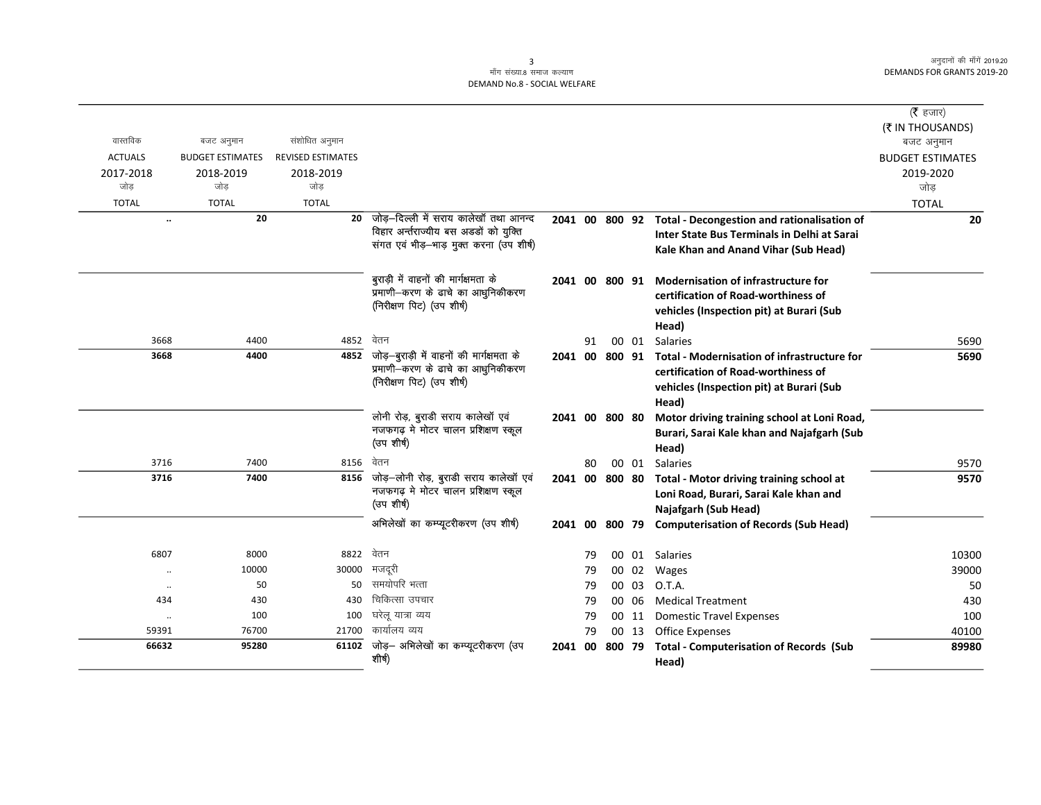|                |                         |                          |                                                                               |         |    |                |       |                                                            | ( <b>रै</b> हजार)<br>(₹ IN THOUSANDS) |
|----------------|-------------------------|--------------------------|-------------------------------------------------------------------------------|---------|----|----------------|-------|------------------------------------------------------------|---------------------------------------|
| वास्तविक       | बजट अनुमान              | संशोधित अनुमान           |                                                                               |         |    |                |       |                                                            | बजट अनुमान                            |
| <b>ACTUALS</b> | <b>BUDGET ESTIMATES</b> | <b>REVISED ESTIMATES</b> |                                                                               |         |    |                |       |                                                            | <b>BUDGET ESTIMATES</b>               |
| 2017-2018      | 2018-2019               | 2018-2019                |                                                                               |         |    |                |       |                                                            | 2019-2020                             |
| जोड            | जोड                     | जोड                      |                                                                               |         |    |                |       |                                                            | जोड                                   |
| <b>TOTAL</b>   | <b>TOTAL</b>            | <b>TOTAL</b>             |                                                                               |         |    |                |       |                                                            | <b>TOTAL</b>                          |
| $\ldots$       | 20                      | 20                       | जोड–दिल्ली में सराय कालेखॉ तथा आनन्द                                          |         |    |                |       | 2041 00 800 92 Total - Decongestion and rationalisation of | 20                                    |
|                |                         |                          | विहार अर्न्तराज्यीय बस अडडों को युक्ति                                        |         |    |                |       | Inter State Bus Terminals in Delhi at Sarai                |                                       |
|                |                         |                          | संगत एवं भीड़-भाड़ मुक्त करना (उप शीर्ष)                                      |         |    |                |       | Kale Khan and Anand Vihar (Sub Head)                       |                                       |
|                |                         |                          | बुराड़ी में वाहनों की मार्गक्षमता के                                          |         |    | 2041 00 800 91 |       | <b>Modernisation of infrastructure for</b>                 |                                       |
|                |                         |                          | प्रमाणी-करण के ढाचे का आधुनिकीकरण                                             |         |    |                |       | certification of Road-worthiness of                        |                                       |
|                |                         |                          | (निरीक्षण पिट) (उप शीर्ष)                                                     |         |    |                |       | vehicles (Inspection pit) at Burari (Sub                   |                                       |
|                |                         |                          |                                                                               |         |    |                |       | Head)                                                      |                                       |
| 3668           | 4400                    | 4852                     | वेतन                                                                          |         | 91 |                | 00 01 | <b>Salaries</b>                                            | 5690                                  |
| 3668           | 4400                    | 4852                     | जोड़—बुराड़ी में वाहनों की मार्गक्षमता के                                     |         |    | 2041 00 800 91 |       | Total - Modernisation of infrastructure for                | 5690                                  |
|                |                         |                          | प्रमाणी-करण के ढाचे का आधुनिकीकरण<br>(निरीक्षण पिट) (उप शीर्ष)                |         |    |                |       | certification of Road-worthiness of                        |                                       |
|                |                         |                          |                                                                               |         |    |                |       | vehicles (Inspection pit) at Burari (Sub                   |                                       |
|                |                         |                          |                                                                               |         |    |                |       | Head)                                                      |                                       |
|                |                         |                          | लोनी रोड़, बुराडी सराय कालेखॉ एवं<br>नजफगढ़ मे मोटर चालन प्रशिक्षण स्कूल      |         |    | 2041 00 800 80 |       | Motor driving training school at Loni Road,                |                                       |
|                |                         |                          | (उपशीर्ष)                                                                     |         |    |                |       | Burari, Sarai Kale khan and Najafgarh (Sub                 |                                       |
|                |                         |                          | वेतन                                                                          |         |    |                |       | Head)                                                      |                                       |
| 3716           | 7400                    | 8156                     |                                                                               |         | 80 |                | 00 01 | Salaries                                                   | 9570                                  |
| 3716           | 7400                    | 8156                     | जोड़-लोनी रोड़, बुराडी सराय कालेखॉ एवं<br>नजफगढ़ मे मोटर चालन प्रशिक्षण स्कूल | 2041 00 |    | 800 80         |       | Total - Motor driving training school at                   | 9570                                  |
|                |                         |                          | (उप शीर्ष)                                                                    |         |    |                |       | Loni Road, Burari, Sarai Kale khan and                     |                                       |
|                |                         |                          | अभिलेखों का कम्प्यूटरीकरण (उप शीर्ष)                                          |         |    |                |       | Najafgarh (Sub Head)                                       |                                       |
|                |                         |                          |                                                                               | 2041 00 |    | 800 79         |       | <b>Computerisation of Records (Sub Head)</b>               |                                       |
| 6807           | 8000                    | 8822                     | वेतन                                                                          |         | 79 |                | 00 01 | Salaries                                                   | 10300                                 |
| $\cdot\cdot$   | 10000                   | 30000                    | मजदूरी                                                                        |         | 79 |                | 00 02 | Wages                                                      | 39000                                 |
| $\ldots$       | 50                      | 50                       | समयोपरि भत्ता                                                                 |         | 79 |                | 00 03 | O.T.A.                                                     | 50                                    |
| 434            | 430                     | 430                      | चिकित्सा उपचार                                                                |         | 79 |                | 00 06 | <b>Medical Treatment</b>                                   | 430                                   |
| $\cdot\cdot$   | 100                     | 100                      | घरेलू यात्रा व्यय                                                             |         | 79 |                | 00 11 | <b>Domestic Travel Expenses</b>                            | 100                                   |
| 59391          | 76700                   | 21700                    | कार्यालय व्यय                                                                 |         | 79 |                | 00 13 | <b>Office Expenses</b>                                     | 40100                                 |
| 66632          | 95280                   | 61102                    | जोड़— अभिलेखों का कम्प्यूटरीकरण (उप<br>शीर्ष)                                 | 2041 00 |    | 800 79         |       | <b>Total - Computerisation of Records (Sub</b>             | 89980                                 |
|                |                         |                          |                                                                               |         |    |                |       | Head)                                                      |                                       |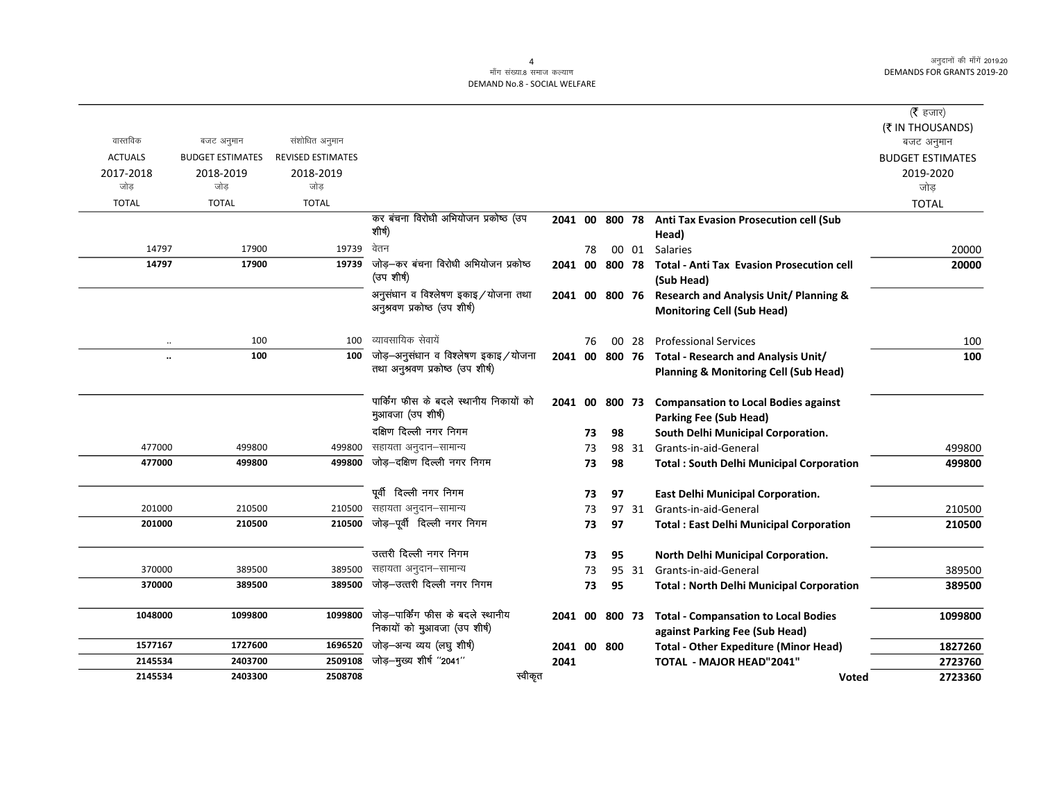### .<br>माँग संख्या.8 समाज कल्याण DEMAND No.8 - SOCIAL WELFARE

| ( <b>रै</b> हजार)       |                                                                                                        |       |        |    |                |                                                                         |                          |                         |                      |
|-------------------------|--------------------------------------------------------------------------------------------------------|-------|--------|----|----------------|-------------------------------------------------------------------------|--------------------------|-------------------------|----------------------|
| (₹ IN THOUSANDS)        |                                                                                                        |       |        |    |                |                                                                         |                          |                         |                      |
| बजट अनुमान              |                                                                                                        |       |        |    |                |                                                                         | संशोधित अनुमान           | बजट अनुमान              | वास्तविक             |
| <b>BUDGET ESTIMATES</b> |                                                                                                        |       |        |    |                |                                                                         | <b>REVISED ESTIMATES</b> | <b>BUDGET ESTIMATES</b> | <b>ACTUALS</b>       |
| 2019-2020               |                                                                                                        |       |        |    |                |                                                                         | 2018-2019                | 2018-2019               | 2017-2018            |
| जोड                     |                                                                                                        |       |        |    |                |                                                                         | जोड                      | जोड                     | जोड                  |
| <b>TOTAL</b>            |                                                                                                        |       |        |    |                |                                                                         | <b>TOTAL</b>             | <b>TOTAL</b>            | <b>TOTAL</b>         |
|                         | 2041 00 800 78 Anti Tax Evasion Prosecution cell (Sub<br>Head)                                         |       |        |    |                | कर बंचना विरोधी अभियोजन प्रकोष्ठ (उप<br>शीर्ष)                          |                          |                         |                      |
| 20000                   | Salaries                                                                                               | 00 01 |        | 78 |                | वेतन                                                                    | 19739                    | 17900                   | 14797                |
| 20000                   | <b>Total - Anti Tax Evasion Prosecution cell</b><br>(Sub Head)                                         |       | 800 78 |    | 2041 00        | जोड़—कर बंचना विरोधी अभियोजन प्रकोष्ठ<br>(उप शीर्ष)                     | 19739                    | 17900                   | 14797                |
|                         | <b>Research and Analysis Unit/ Planning &amp;</b><br><b>Monitoring Cell (Sub Head)</b>                 |       |        |    | 2041 00 800 76 | अनुसंधान व विश्लेषण इकाइ/योजना तथा<br>अनुश्रवण प्रकोष्ठ (उप शीर्ष)      |                          |                         |                      |
| 100                     | <b>Professional Services</b>                                                                           | 00 28 |        | 76 |                | व्यावसायिक सेवायें                                                      | 100                      | 100                     | $\cdot\cdot$         |
| 100                     | 2041 00 800 76 Total - Research and Analysis Unit/<br><b>Planning &amp; Monitoring Cell (Sub Head)</b> |       |        |    |                | जोड़-अनुसंधान व विश्लेषण इकाइ/योजना<br>तथा अनुश्रवण प्रकोष्ठ (उप शीर्ष) | 100                      | 100                     | $\ddot{\phantom{a}}$ |
|                         | <b>Compansation to Local Bodies against</b><br><b>Parking Fee (Sub Head)</b>                           |       |        |    | 2041 00 800 73 | पार्किंग फीस के बदले स्थानीय निकायों को<br>मुआवजा (उप शीर्ष)            |                          |                         |                      |
|                         | South Delhi Municipal Corporation.                                                                     |       | 98     | 73 |                | दक्षिण दिल्ली नगर निगम                                                  |                          |                         |                      |
| 499800                  | Grants-in-aid-General                                                                                  | 98 31 |        | 73 |                | सहायता अनुदान–सामान्य                                                   | 499800                   | 499800                  | 477000               |
| 499800                  | <b>Total: South Delhi Municipal Corporation</b>                                                        |       | 98     | 73 |                | जोड़-दक्षिण दिल्ली नगर निगम                                             | 499800                   | 499800                  | 477000               |
|                         | <b>East Delhi Municipal Corporation.</b>                                                               |       | 97     | 73 |                | पूर्वी दिल्ली नगर निगम                                                  |                          |                         |                      |
| 210500                  | Grants-in-aid-General                                                                                  | 97 31 |        | 73 |                | सहायता अनुदान–सामान्य                                                   | 210500                   | 210500                  | 201000               |
| 210500                  | <b>Total: East Delhi Municipal Corporation</b>                                                         |       | 97     | 73 |                | जोड़-पूर्वी दिल्ली नगर निगम                                             | 210500                   | 210500                  | 201000               |
|                         | North Delhi Municipal Corporation.                                                                     |       | 95     | 73 |                | उत्तरी दिल्ली नगर निगम                                                  |                          |                         |                      |
| 389500                  | Grants-in-aid-General                                                                                  | 95 31 |        | 73 |                | सहायता अनुदान–सामान्य                                                   | 389500                   | 389500                  | 370000               |
| 389500                  | <b>Total: North Delhi Municipal Corporation</b>                                                        |       | 95     | 73 |                | जोड़-उत्तरी दिल्ली नगर निगम                                             | 389500                   | 389500                  | 370000               |
| 1099800                 | 800 73 Total - Compansation to Local Bodies<br>against Parking Fee (Sub Head)                          |       |        |    | 2041 00        | जोड़–पार्किंग फीस के बदले स्थानीय<br>निकायों को मुआवजा (उप शीर्ष)       | 1099800                  | 1099800                 | 1048000              |
| 1827260                 | <b>Total - Other Expediture (Minor Head)</b>                                                           |       |        |    | 2041 00 800    | जोड़-अन्य व्यय (लघु शीर्ष)                                              | 1696520                  | 1727600                 | 1577167              |
| 2723760                 | <b>TOTAL - MAJOR HEAD"2041"</b>                                                                        |       |        |    | 2041           | जोड़-मुख्य शीर्ष "2041"                                                 | 2509108                  | 2403700                 | 2145534              |
| 2723360                 | <b>Voted</b>                                                                                           |       |        |    |                | स्वीकृत                                                                 | 2508708                  | 2403300                 | 2145534              |
|                         |                                                                                                        |       |        |    |                |                                                                         |                          |                         |                      |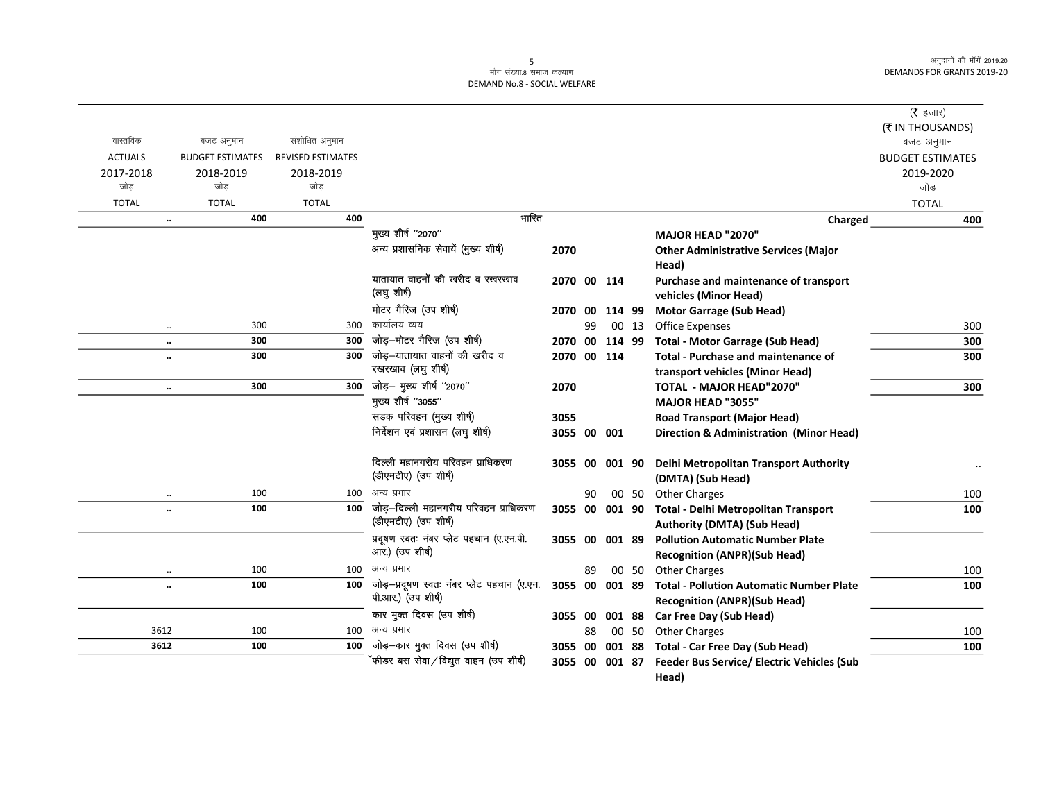|                  |                             |                          |                                                               |                |    |        |       |                                                                                | ( $\bar{\tau}$ हजार)    |
|------------------|-----------------------------|--------------------------|---------------------------------------------------------------|----------------|----|--------|-------|--------------------------------------------------------------------------------|-------------------------|
|                  |                             |                          |                                                               |                |    |        |       |                                                                                | (₹ IN THOUSANDS)        |
| वास्तविक         | बजट अनुमान                  | संशोधित अनुमान           |                                                               |                |    |        |       |                                                                                | बजट अनुमान              |
| <b>ACTUALS</b>   | <b>BUDGET ESTIMATES</b>     | <b>REVISED ESTIMATES</b> |                                                               |                |    |        |       |                                                                                | <b>BUDGET ESTIMATES</b> |
| 2017-2018<br>जोड | 2018-2019<br>जोड            | 2018-2019<br>जोड         |                                                               |                |    |        |       |                                                                                | 2019-2020               |
|                  |                             |                          |                                                               |                |    |        |       |                                                                                | जोड                     |
| <b>TOTAL</b>     | <b>TOTAL</b><br>400         | <b>TOTAL</b><br>400      | भारित                                                         |                |    |        |       |                                                                                | <b>TOTAL</b><br>400     |
|                  | $\ldots$                    |                          | मुख्य शीर्ष "2070"                                            |                |    |        |       | Charged<br><b>MAJOR HEAD "2070"</b>                                            |                         |
|                  |                             |                          | अन्य प्रशासनिक सेवायें (मुख्य शीर्ष)                          | 2070           |    |        |       | <b>Other Administrative Services (Major</b>                                    |                         |
|                  |                             |                          |                                                               |                |    |        |       | Head)                                                                          |                         |
|                  |                             |                          | यातायात वाहनों की खरीद व रखरखाव<br>(लघु शीर्ष)                | 2070 00 114    |    |        |       | Purchase and maintenance of transport<br>vehicles (Minor Head)                 |                         |
|                  |                             |                          | मोटर गैरिज (उप शीर्ष)                                         | 2070 00        |    | 114 99 |       | <b>Motor Garrage (Sub Head)</b>                                                |                         |
|                  | 300<br>$\ddotsc$            | 300                      | कार्यालय व्यय                                                 |                | 99 |        | 00 13 | <b>Office Expenses</b>                                                         | 300                     |
|                  | 300<br>$\ldots$             | 300                      | जोड़-मोटर गैरिज (उप शीर्ष)                                    | 2070 00        |    | 114 99 |       | <b>Total - Motor Garrage (Sub Head)</b>                                        | 300                     |
|                  | 300<br>$\ddot{\phantom{0}}$ | 300                      | जोड़—यातायात वाहनों की खरीद व<br>रखरखाव (लघु शीर्ष)           | 2070 00 114    |    |        |       | Total - Purchase and maintenance of<br>transport vehicles (Minor Head)         | 300                     |
|                  | 300<br>$\ddotsc$            | 300                      | जोड़- मुख्य शीर्ष "2070"                                      | 2070           |    |        |       | TOTAL - MAJOR HEAD"2070"                                                       | 300                     |
|                  |                             |                          | मुख्य शीर्ष "3055"                                            |                |    |        |       | <b>MAJOR HEAD "3055"</b>                                                       |                         |
|                  |                             |                          | सडक परिवहन (मुख्य शीर्ष)                                      | 3055           |    |        |       | <b>Road Transport (Major Head)</b>                                             |                         |
|                  |                             |                          | निर्देशन एवं प्रशासन (लघु शीर्ष)                              | 3055 00 001    |    |        |       | <b>Direction &amp; Administration (Minor Head)</b>                             |                         |
|                  |                             |                          | दिल्ली महानगरीय परिवहन प्राधिकरण<br>(डीएमटीए) (उप शीर्ष)      | 3055 00 001 90 |    |        |       | Delhi Metropolitan Transport Authority<br>(DMTA) (Sub Head)                    |                         |
|                  | 100<br>$\cdot\cdot$         | 100                      | अन्य प्रभार                                                   |                | 90 |        |       | 00 50 Other Charges                                                            | 100                     |
|                  | 100<br>$\ddot{\phantom{0}}$ | 100                      | जोड़-दिल्ली महानगरीय परिवहन प्राधिकरण<br>(डीएमटीए) (उप शीर्ष) | 3055 00 001 90 |    |        |       | Total - Delhi Metropolitan Transport<br><b>Authority (DMTA) (Sub Head)</b>     | 100                     |
|                  |                             |                          | प्रदूषण स्वतः नंबर प्लेट पहचान (ए.एन.पी.<br>आर.) (उप शीर्ष)   | 3055 00        |    | 001 89 |       | <b>Pollution Automatic Number Plate</b><br><b>Recognition (ANPR)(Sub Head)</b> |                         |
|                  | 100<br>$\ldots$             | 100                      | अन्य प्रभार                                                   |                | 89 |        | 00 50 | <b>Other Charges</b>                                                           | 100                     |
|                  | 100<br>$\ddot{\phantom{0}}$ | 100                      | जोड़-प्रदूषण स्वतः नंबर प्लेट पहचान (ए.एन.                    | 3055 00        |    | 001 89 |       | <b>Total - Pollution Automatic Number Plate</b>                                | 100                     |
|                  |                             |                          | पी.आर.) (उप शीर्ष)                                            |                |    |        |       | <b>Recognition (ANPR)(Sub Head)</b>                                            |                         |
|                  |                             |                          | कार मुक्त दिवस (उप शीर्ष)                                     | 3055 00        |    | 001 88 |       | Car Free Day (Sub Head)                                                        |                         |
| 3612             | 100                         | 100                      | अन्य प्रभार                                                   |                | 88 |        | 00 50 | <b>Other Charges</b>                                                           | 100                     |
| 3612             | 100                         | 100                      | जोड़-कार मुक्त दिवस (उप शीर्ष)                                | 3055 00        |    |        |       | 001 88 Total - Car Free Day (Sub Head)                                         | 100                     |
|                  |                             |                          | ॅफीडर बस सेवा ⁄ विद्युत वाहन (उप शीर्ष)                       | 3055 00 001 87 |    |        |       | <b>Feeder Bus Service/ Electric Vehicles (Sub</b><br>Head)                     |                         |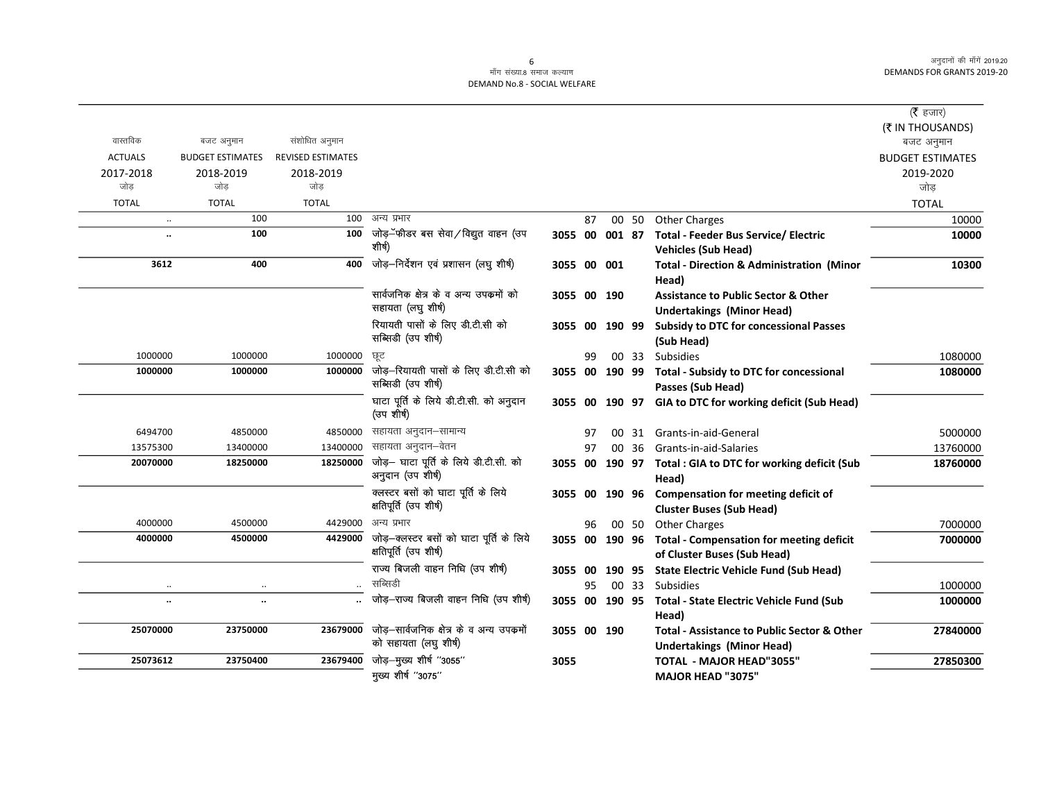#### ्<br>माँग संख्या.8 समाज कल्याण DEMAND No.8 - SOCIAL WELFARE

|                      |                         |                          |                                                                    |             |    |                |       |                                                                                | ( $\bar{\tau}$ हजार)                 |
|----------------------|-------------------------|--------------------------|--------------------------------------------------------------------|-------------|----|----------------|-------|--------------------------------------------------------------------------------|--------------------------------------|
| वास्तविक             | बजट अनुमान              | संशोधित अनुमान           |                                                                    |             |    |                |       |                                                                                | (₹ IN THOUSANDS)                     |
| <b>ACTUALS</b>       | <b>BUDGET ESTIMATES</b> | <b>REVISED ESTIMATES</b> |                                                                    |             |    |                |       |                                                                                | बजट अनुमान                           |
| 2017-2018            | 2018-2019               | 2018-2019                |                                                                    |             |    |                |       |                                                                                | <b>BUDGET ESTIMATES</b><br>2019-2020 |
| जोड                  | जोड                     | जोड                      |                                                                    |             |    |                |       |                                                                                | जोड़                                 |
| <b>TOTAL</b>         | <b>TOTAL</b>            | <b>TOTAL</b>             |                                                                    |             |    |                |       |                                                                                | <b>TOTAL</b>                         |
| $\ldots$             | 100                     | 100                      | अन्य प्रभार                                                        |             | 87 |                | 00 50 | <b>Other Charges</b>                                                           | 10000                                |
| $\ddot{\phantom{a}}$ | 100                     | 100                      | जोड़–ॅफीडर बस सेवा ⁄ विद्युत वाहन (उप                              |             |    | 3055 00 001 87 |       | <b>Total - Feeder Bus Service/ Electric</b>                                    | 10000                                |
|                      |                         |                          | शीर्ष)                                                             |             |    |                |       | <b>Vehicles (Sub Head)</b>                                                     |                                      |
| 3612                 | 400                     | 400                      | जोड़-निर्देशन एवं प्रशासन (लघु शीर्ष)                              | 3055 00 001 |    |                |       | <b>Total - Direction &amp; Administration (Minor</b>                           | 10300                                |
|                      |                         |                          |                                                                    |             |    |                |       | Head)                                                                          |                                      |
|                      |                         |                          | सार्वजनिक क्षेत्र के व अन्य उपकर्मो को                             | 3055 00 190 |    |                |       | <b>Assistance to Public Sector &amp; Other</b>                                 |                                      |
|                      |                         |                          | सहायता (लघु शीर्ष)                                                 |             |    |                |       | <b>Undertakings (Minor Head)</b>                                               |                                      |
|                      |                         |                          | रियायती पासों के लिए डी.टी.सी को                                   | 3055 00     |    | 190 99         |       | <b>Subsidy to DTC for concessional Passes</b>                                  |                                      |
|                      |                         |                          | सब्सिडी (उप शीर्ष)                                                 |             |    |                |       | (Sub Head)                                                                     |                                      |
| 1000000              | 1000000                 | 1000000                  | छट                                                                 |             | 99 |                | 00 33 | Subsidies                                                                      | 1080000                              |
| 1000000              | 1000000                 | 1000000                  | जोड़-रियायती पासों के लिए डी.टी.सी को                              | 3055 00     |    |                |       | 190 99 Total - Subsidy to DTC for concessional                                 | 1080000                              |
|                      |                         |                          | सब्सिडी (उप शीर्ष)                                                 |             |    |                |       | Passes (Sub Head)                                                              |                                      |
|                      |                         |                          | घाटा पूर्ति के लिये डी.टी.सी. को अनुदान<br>(उप शीर्ष)              | 3055 00     |    | 190 97         |       | GIA to DTC for working deficit (Sub Head)                                      |                                      |
| 6494700              | 4850000                 | 4850000                  | सहायता अनुदान–सामान्य                                              |             | 97 |                | 00 31 | Grants-in-aid-General                                                          | 5000000                              |
| 13575300             | 13400000                | 13400000                 | सहायता अनुदान–वेतन                                                 |             | 97 |                | 00 36 | Grants-in-aid-Salaries                                                         | 13760000                             |
| 20070000             | 18250000                | 18250000                 | जोड़- घाटा पूर्ति के लिये डी.टी.सी. को                             | 3055 00     |    |                |       | 190 97 Total : GIA to DTC for working deficit (Sub                             | 18760000                             |
|                      |                         |                          | अनुदान (उप शीर्ष)                                                  |             |    |                |       | Head)                                                                          |                                      |
|                      |                         |                          | क्लस्टर बसों को घाटा पूर्ति के लिये                                |             |    | 3055 00 190 96 |       | Compensation for meeting deficit of                                            |                                      |
|                      |                         |                          | क्षतिपूर्ति (उप शीर्ष)                                             |             |    |                |       | <b>Cluster Buses (Sub Head)</b>                                                |                                      |
| 4000000              | 4500000                 | 4429000                  | अन्य प्रभार                                                        |             | 96 |                | 00 50 | <b>Other Charges</b>                                                           | 7000000                              |
| 4000000              | 4500000                 | 4429000                  | जोड़—क्लस्टर बसों को घाटा पूर्ति के लिये<br>क्षतिपूर्ति (उप शीर्ष) |             |    | 3055 00 190 96 |       | <b>Total - Compensation for meeting deficit</b><br>of Cluster Buses (Sub Head) | 7000000                              |
|                      |                         |                          | राज्य बिजली वाहन निधि (उप शीर्ष)                                   | 3055 00     |    |                |       | 190 95 State Electric Vehicle Fund (Sub Head)                                  |                                      |
| $\ldots$             | $\ldots$                | $\ddotsc$                | सब्सिडी                                                            |             | 95 |                | 00 33 | Subsidies                                                                      | 1000000                              |
| $\ddotsc$            | $\ddotsc$               |                          | जोड़-राज्य बिजली वाहन निधि (उप शीर्ष)                              |             |    |                |       | 3055 00 190 95 Total - State Electric Vehicle Fund (Sub                        | 1000000                              |
|                      |                         |                          |                                                                    |             |    |                |       | Head)                                                                          |                                      |
| 25070000             | 23750000                | 23679000                 | जोड़–सार्वजनिक क्षेत्र के व अन्य उपकर्मो                           |             |    | 3055 00 190    |       | <b>Total - Assistance to Public Sector &amp; Other</b>                         | 27840000                             |
|                      |                         |                          | को सहायता (लघु शीर्ष)                                              |             |    |                |       | <b>Undertakings (Minor Head)</b>                                               |                                      |
| 25073612             | 23750400                | 23679400                 | जोड़-मुख्य शीर्ष "3055"                                            | 3055        |    |                |       | <b>TOTAL - MAJOR HEAD"3055"</b>                                                | 27850300                             |
|                      |                         |                          | मुख्य शीर्ष "3075"                                                 |             |    |                |       | <b>MAJOR HEAD "3075"</b>                                                       |                                      |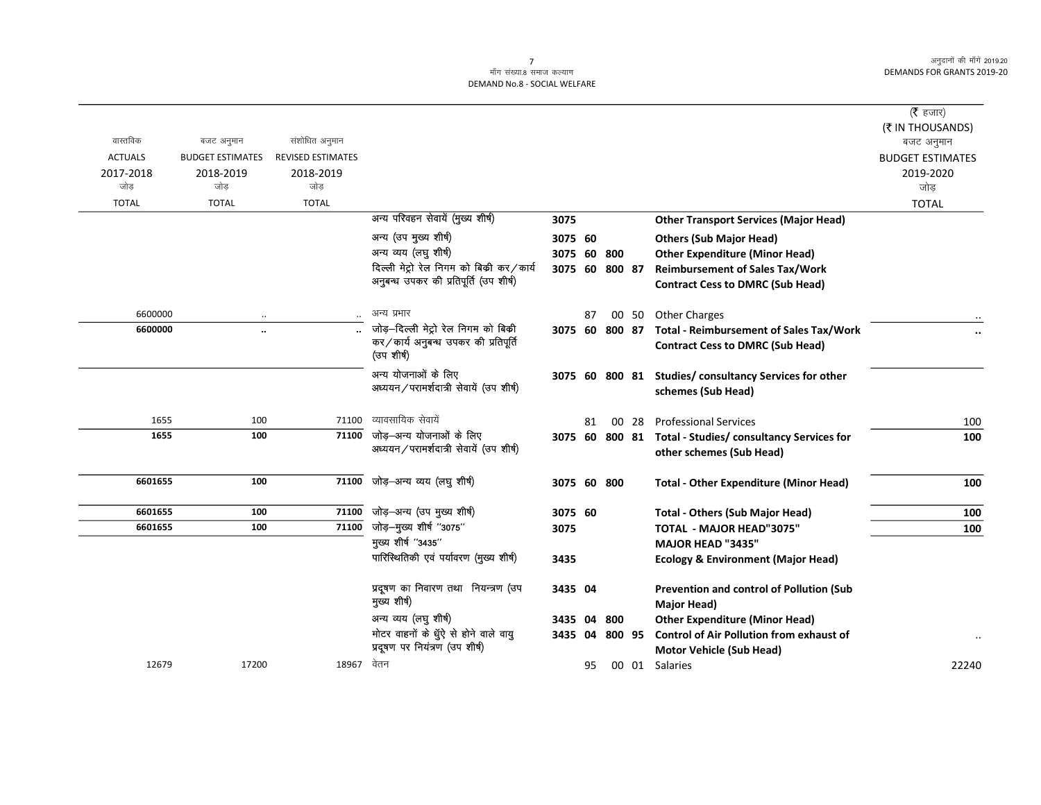#### $\frac{1}{2}$ माँग संख्या 8 समाज कल्याण DEMAND No.8 - SOCIAL WELFARE

|                |                         |                          |                                                    |             |    |        |       |                                                        | ( $\bar{\tau}$ हजार)    |
|----------------|-------------------------|--------------------------|----------------------------------------------------|-------------|----|--------|-------|--------------------------------------------------------|-------------------------|
|                |                         |                          |                                                    |             |    |        |       |                                                        | (₹ IN THOUSANDS)        |
| वास्तविक       | बजट अनुमान              | संशोधित अनुमान           |                                                    |             |    |        |       |                                                        | बजट अनुमान              |
| <b>ACTUALS</b> | <b>BUDGET ESTIMATES</b> | <b>REVISED ESTIMATES</b> |                                                    |             |    |        |       |                                                        | <b>BUDGET ESTIMATES</b> |
| 2017-2018      | 2018-2019               | 2018-2019                |                                                    |             |    |        |       |                                                        | 2019-2020               |
| जोड            | जोड                     | जोड                      |                                                    |             |    |        |       |                                                        | जोड                     |
| <b>TOTAL</b>   | <b>TOTAL</b>            | <b>TOTAL</b>             |                                                    |             |    |        |       |                                                        | <b>TOTAL</b>            |
|                |                         |                          | अन्य परिवहन सेवायें (मुख्य शीर्ष)                  | 3075        |    |        |       | <b>Other Transport Services (Major Head)</b>           |                         |
|                |                         |                          | अन्य (उप मुख्य शीर्ष)                              | 3075 60     |    |        |       | <b>Others (Sub Major Head)</b>                         |                         |
|                |                         |                          | अन्य व्यय (लघु शीर्ष)                              | 3075 60     |    | 800    |       | <b>Other Expenditure (Minor Head)</b>                  |                         |
|                |                         |                          | दिल्ली मेट्रो रेल निगम को बिकी कर/कार्य            | 3075 60     |    | 800 87 |       | <b>Reimbursement of Sales Tax/Work</b>                 |                         |
|                |                         |                          | अनुबन्ध उपकर की प्रतिपूर्ति (उप शीर्ष)             |             |    |        |       | <b>Contract Cess to DMRC (Sub Head)</b>                |                         |
|                |                         |                          |                                                    |             |    |        |       |                                                        |                         |
| 6600000        |                         |                          | अन्य प्रभार                                        |             | 87 |        | 00 50 | <b>Other Charges</b>                                   |                         |
| 6600000        | $\ddot{\phantom{a}}$    |                          | जोड़-दिल्ली मेट्रो रेल निगम को बिकी                | 3075 60     |    | 800 87 |       | Total - Reimbursement of Sales Tax/Work                |                         |
|                |                         |                          | कर/कार्य अनुबन्ध उपकर की प्रतिपूर्ति<br>(उप शीर्ष) |             |    |        |       | <b>Contract Cess to DMRC (Sub Head)</b>                |                         |
|                |                         |                          | अन्य योजनाओं के लिए                                |             |    |        |       | 3075 60 800 81 Studies/ consultancy Services for other |                         |
|                |                         |                          | अध्ययन/परामर्शदात्री सेवायें (उप शीर्ष)            |             |    |        |       | schemes (Sub Head)                                     |                         |
|                |                         |                          |                                                    |             |    |        |       |                                                        |                         |
| 1655           | 100                     | 71100                    | व्यावसायिक सेवायें                                 |             | 81 |        | 00 28 | <b>Professional Services</b>                           | 100                     |
| 1655           | 100                     | 71100                    | जोड़—अन्य योजनाओं के लिए                           | 3075 60     |    | 800 81 |       | <b>Total - Studies/ consultancy Services for</b>       | 100                     |
|                |                         |                          | अध्ययन/परामर्शदात्री सेवायें (उप शीर्ष)            |             |    |        |       | other schemes (Sub Head)                               |                         |
|                |                         |                          |                                                    |             |    |        |       |                                                        |                         |
| 6601655        | 100                     | 71100                    | जोड़–अन्य व्यय (लघु शीर्ष)                         | 3075 60 800 |    |        |       | <b>Total - Other Expenditure (Minor Head)</b>          | 100                     |
| 6601655        | 100                     | 71100                    | जोड़–अन्य (उप मुख्य शीर्ष)                         | 3075 60     |    |        |       | <b>Total - Others (Sub Major Head)</b>                 | 100                     |
| 6601655        | 100                     | 71100                    | जोड़—मुख्य शीर्ष "3075"                            | 3075        |    |        |       | <b>TOTAL - MAJOR HEAD"3075"</b>                        | 100                     |
|                |                         |                          | मुख्य शीर्ष "3435"                                 |             |    |        |       | <b>MAJOR HEAD "3435"</b>                               |                         |
|                |                         |                          | पारिस्थितिकी एवं पर्यावरण (मुख्य शीर्ष)            | 3435        |    |        |       | <b>Ecology &amp; Environment (Major Head)</b>          |                         |
|                |                         |                          |                                                    |             |    |        |       |                                                        |                         |
|                |                         |                          | प्रदूषण का निवारण तथा नियन्त्रण (उप                | 3435 04     |    |        |       | Prevention and control of Pollution (Sub               |                         |
|                |                         |                          | मुख्य शीर्ष)                                       |             |    |        |       | Major Head)                                            |                         |
|                |                         |                          | अन्य व्यय (लघु शीर्ष)                              | 3435 04     |    | 800    |       | <b>Other Expenditure (Minor Head)</b>                  |                         |
|                |                         |                          | मोटर वाहनों के धुॅऐ से होने वाले वायु              | 3435        | 04 | 800 95 |       | <b>Control of Air Pollution from exhaust of</b>        |                         |
|                |                         |                          | प्रदूषण पर नियंत्रण (उप शीर्ष)                     |             |    |        |       | <b>Motor Vehicle (Sub Head)</b>                        |                         |
| 12679          | 17200                   | 18967                    | वेतन                                               |             | 95 |        | 00 01 | Salaries                                               | 22240                   |
|                |                         |                          |                                                    |             |    |        |       |                                                        |                         |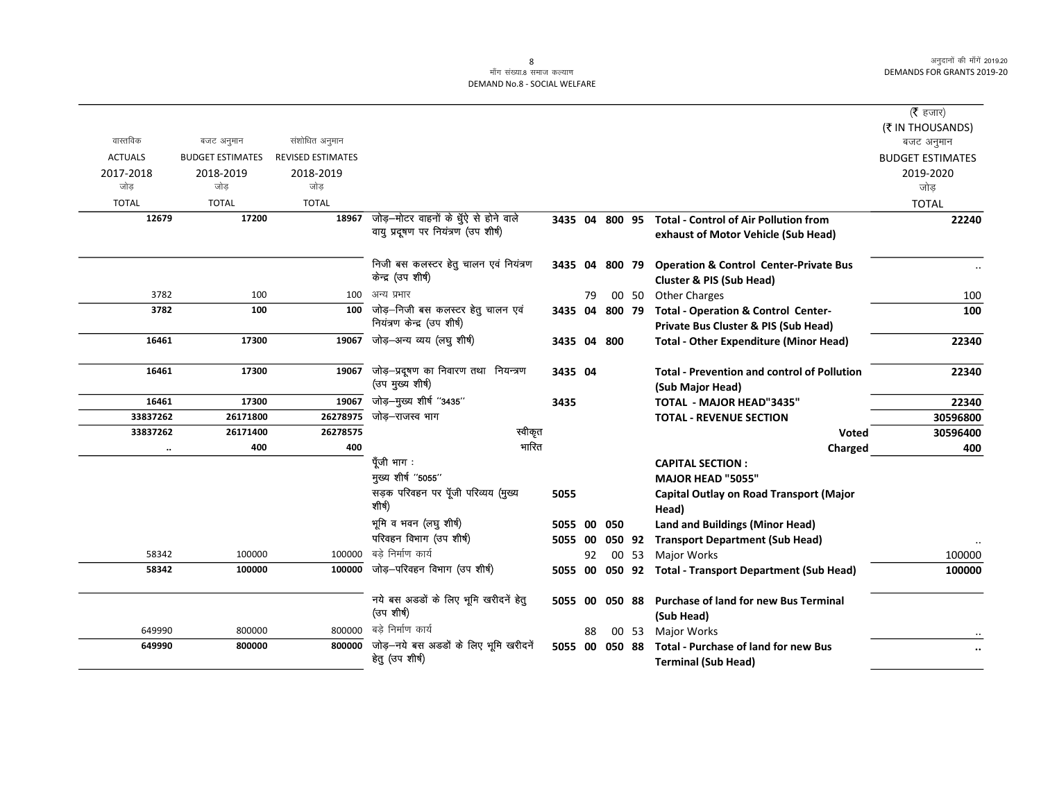|                      |                         |                          |                                                                              |         |    |                |       |                                                                           | (रै हजार)               |
|----------------------|-------------------------|--------------------------|------------------------------------------------------------------------------|---------|----|----------------|-------|---------------------------------------------------------------------------|-------------------------|
|                      |                         |                          |                                                                              |         |    |                |       |                                                                           | (₹ IN THOUSANDS)        |
| वास्तविक             | बजट अनुमान              | संशोधित अनुमान           |                                                                              |         |    |                |       |                                                                           | बजट अनुमान              |
| <b>ACTUALS</b>       | <b>BUDGET ESTIMATES</b> | <b>REVISED ESTIMATES</b> |                                                                              |         |    |                |       |                                                                           | <b>BUDGET ESTIMATES</b> |
| 2017-2018            | 2018-2019               | 2018-2019                |                                                                              |         |    |                |       |                                                                           | 2019-2020               |
| जोड                  | जोड                     | जोड                      |                                                                              |         |    |                |       |                                                                           | जोड़                    |
| <b>TOTAL</b>         | <b>TOTAL</b>            | <b>TOTAL</b>             |                                                                              |         |    |                |       |                                                                           | <b>TOTAL</b>            |
| 12679                | 17200                   | 18967                    | जोड़–मोटर वाहनों के धुँऐ से होने वाले<br>वायु प्रदूषण पर नियंत्रण (उप शीर्ष) |         |    | 3435 04 800 95 |       | <b>Total - Control of Air Pollution from</b>                              | 22240                   |
|                      |                         |                          |                                                                              |         |    |                |       | exhaust of Motor Vehicle (Sub Head)                                       |                         |
|                      |                         |                          | निजी बस कलस्टर हेतु चालन एवं नियंत्रण                                        |         |    | 3435 04 800 79 |       | <b>Operation &amp; Control Center-Private Bus</b>                         |                         |
|                      |                         |                          | केन्द्र (उप शीर्ष)                                                           |         |    |                |       | <b>Cluster &amp; PIS (Sub Head)</b>                                       |                         |
| 3782                 | 100                     | 100                      | अन्य प्रभार                                                                  |         | 79 |                | 00 50 | <b>Other Charges</b>                                                      | 100                     |
| 3782                 | 100                     | 100                      | जोड़-निजी बस कलस्टर हेतु चालन एवं                                            | 3435 04 |    | 800 79         |       | <b>Total - Operation &amp; Control Center-</b>                            | 100                     |
|                      |                         |                          | नियंत्रण केन्द्र (उप शीर्ष)                                                  |         |    |                |       | Private Bus Cluster & PIS (Sub Head)                                      |                         |
| 16461                | 17300                   | 19067                    | जोड़-अन्य व्यय (लघु शीर्ष)                                                   |         |    | 3435 04 800    |       | <b>Total - Other Expenditure (Minor Head)</b>                             | 22340                   |
| 16461                | 17300                   | 19067                    | जोड़-प्रदूषण का निवारण तथा नियन्त्रण                                         | 3435 04 |    |                |       | <b>Total - Prevention and control of Pollution</b>                        | 22340                   |
|                      |                         |                          | (उप मुख्य शीर्ष)                                                             |         |    |                |       | (Sub Major Head)                                                          |                         |
| 16461                | 17300                   | 19067                    | जोड़-मुख्य शीर्ष "3435"                                                      | 3435    |    |                |       | TOTAL - MAJOR HEAD"3435"                                                  | 22340                   |
| 33837262             | 26171800                | 26278975                 | जोड–राजस्व भाग                                                               |         |    |                |       | <b>TOTAL - REVENUE SECTION</b>                                            | 30596800                |
| 33837262             | 26171400                | 26278575                 | स्वीकृत                                                                      |         |    |                |       | <b>Voted</b>                                                              | 30596400                |
| $\ddot{\phantom{a}}$ | 400                     | 400                      | भारित                                                                        |         |    |                |       | Charged                                                                   | 400                     |
|                      |                         |                          | पूँजी भाग :                                                                  |         |    |                |       | <b>CAPITAL SECTION:</b>                                                   |                         |
|                      |                         |                          | मुख्य शीर्ष "5055"                                                           |         |    |                |       | <b>MAJOR HEAD "5055"</b>                                                  |                         |
|                      |                         |                          | सड़क परिवहन पर पूँजी परिव्यय (मुख्य<br>शीर्ष)                                | 5055    |    |                |       | Capital Outlay on Road Transport (Major<br>Head)                          |                         |
|                      |                         |                          | भूमि व भवन (लघु शीर्ष)                                                       | 5055    | 00 | 050            |       | <b>Land and Buildings (Minor Head)</b>                                    |                         |
|                      |                         |                          | परिवहन विभाग (उप शीर्ष)                                                      | 5055 00 |    |                |       | 050 92 Transport Department (Sub Head)                                    |                         |
| 58342                | 100000                  | 100000                   | बडे निर्माण कार्य                                                            |         | 92 |                | 00 53 | Major Works                                                               | 100000                  |
| 58342                | 100000                  | 100000                   | जोड़-परिवहन विभाग (उप शीर्ष)                                                 | 5055    | 00 |                |       | 050 92 Total - Transport Department (Sub Head)                            | 100000                  |
|                      |                         |                          | नये बस अडडों के लिए भूमि खरीदनें हेतु<br>(उप शीर्ष)                          | 5055 00 |    | 050 88         |       | <b>Purchase of land for new Bus Terminal</b><br>(Sub Head)                |                         |
| 649990               | 800000                  | 800000                   | बडे निर्माण कार्य                                                            |         | 88 |                | 00 53 | <b>Major Works</b>                                                        |                         |
| 649990               | 800000                  | 800000                   | जोड़-नये बस अडडों के लिए भूमि खरीदनें<br>हेतु (उप शीर्ष)                     | 5055 00 |    | 050 88         |       | <b>Total - Purchase of land for new Bus</b><br><b>Terminal (Sub Head)</b> |                         |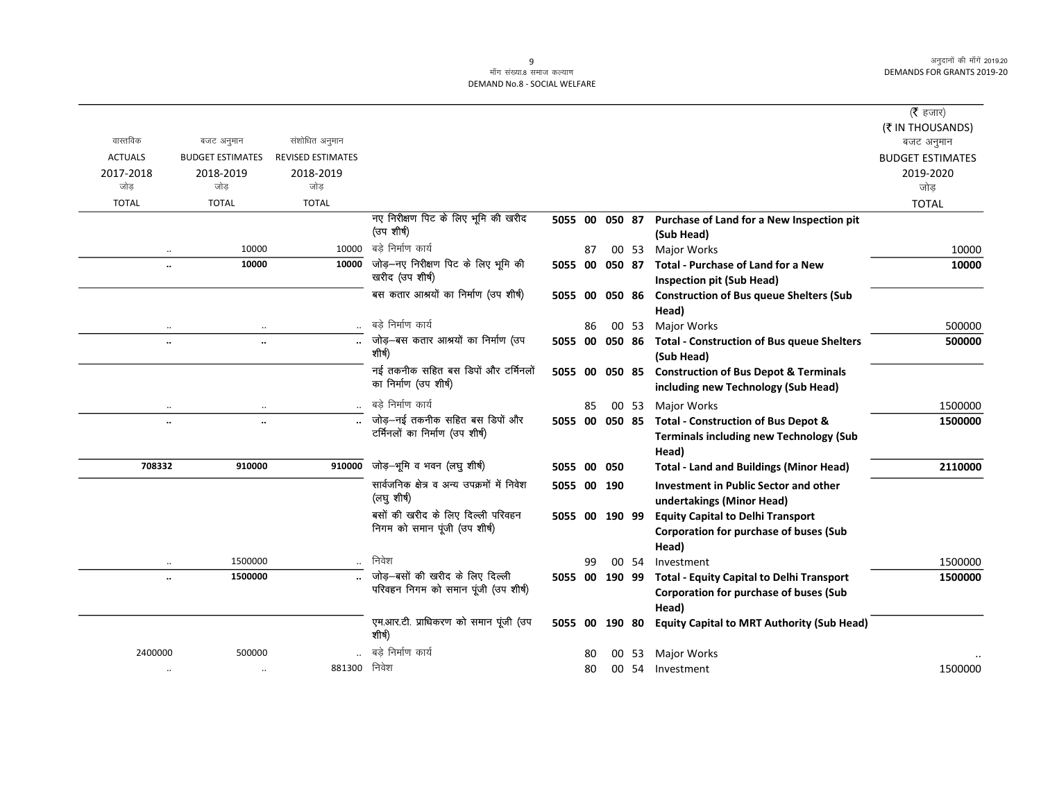## ्<br>माँग संख्या.8 समाज कल्याण DEMAND No.8 - SOCIAL WELFARE

|                      |                                       |                          |                                                            |                |    |        |       |                                                                                         | ( $\bar{\tau}$ हजार)                  |
|----------------------|---------------------------------------|--------------------------|------------------------------------------------------------|----------------|----|--------|-------|-----------------------------------------------------------------------------------------|---------------------------------------|
| वास्तविक             |                                       | संशोधित अनुमान           |                                                            |                |    |        |       |                                                                                         | (₹ IN THOUSANDS)                      |
| <b>ACTUALS</b>       | बजट अनुमान<br><b>BUDGET ESTIMATES</b> | <b>REVISED ESTIMATES</b> |                                                            |                |    |        |       |                                                                                         | बजट अनुमान<br><b>BUDGET ESTIMATES</b> |
| 2017-2018            | 2018-2019                             | 2018-2019                |                                                            |                |    |        |       |                                                                                         | 2019-2020                             |
| जोड                  | जोड                                   | जोड                      |                                                            |                |    |        |       |                                                                                         | जोड़                                  |
| <b>TOTAL</b>         | <b>TOTAL</b>                          | <b>TOTAL</b>             |                                                            |                |    |        |       |                                                                                         | <b>TOTAL</b>                          |
|                      |                                       |                          | नए निरीक्षण पिट के लिए भूमि की खरीद                        | 5055 00 050 87 |    |        |       | Purchase of Land for a New Inspection pit                                               |                                       |
|                      |                                       |                          | (उप शीर्ष)                                                 |                |    |        |       | (Sub Head)                                                                              |                                       |
|                      | 10000                                 | 10000                    | बडे निर्माण कार्य                                          |                | 87 |        | 00 53 | <b>Major Works</b>                                                                      | 10000                                 |
| $\ddotsc$            | 10000                                 |                          | $\overline{10000}$ जोड़-नए निरीक्षण पिट के लिए भूमि की     | 5055 00        |    | 050 87 |       | <b>Total - Purchase of Land for a New</b>                                               | 10000                                 |
|                      |                                       |                          | खरीद (उप शीर्ष)                                            |                |    |        |       | <b>Inspection pit (Sub Head)</b>                                                        |                                       |
|                      |                                       |                          | बस कतार आश्रयों का निर्माण (उप शीर्ष)                      | 5055 00        |    | 050 86 |       | <b>Construction of Bus queue Shelters (Sub</b>                                          |                                       |
|                      |                                       |                          |                                                            |                |    |        |       | Head)                                                                                   |                                       |
| $\ddotsc$            | $\ddotsc$                             |                          | बड़े निर्माण कार्य                                         |                | 86 |        | 00 53 | Major Works                                                                             | 500000                                |
| $\ddot{\phantom{a}}$ |                                       |                          | जोड़-बस कतार आश्रयों का निर्माण (उप<br>शीर्ष)              | 5055 00        |    | 050 86 |       | <b>Total - Construction of Bus queue Shelters</b>                                       | 500000                                |
|                      |                                       |                          | नई तकनीक सहित बस डिपों और टर्मिनलों                        |                |    |        |       | (Sub Head)                                                                              |                                       |
|                      |                                       |                          | का निर्माण (उप शीर्ष)                                      | 5055 00        |    | 050 85 |       | <b>Construction of Bus Depot &amp; Terminals</b><br>including new Technology (Sub Head) |                                       |
|                      | $\ddotsc$                             |                          | बडे निर्माण कार्य                                          |                | 85 |        | 00 53 | <b>Major Works</b>                                                                      | 1500000                               |
| $\ddotsc$            | $\ddot{\phantom{a}}$                  |                          | जोड़-नई तकनीक सहित बस डिपों और                             | 5055 00        |    |        |       | 050 85 Total - Construction of Bus Depot &                                              | 1500000                               |
|                      |                                       |                          | टर्मिनलों का निर्माण (उप शीर्ष)                            |                |    |        |       | <b>Terminals including new Technology (Sub</b>                                          |                                       |
|                      |                                       |                          |                                                            |                |    |        |       | Head)                                                                                   |                                       |
| 708332               | 910000                                | 910000                   | जोड़-भूमि व भवन (लघु शीर्ष)                                | 5055 00        |    | 050    |       | <b>Total - Land and Buildings (Minor Head)</b>                                          | 2110000                               |
|                      |                                       |                          | सार्वजनिक क्षेत्र व अन्य उपक्रमों में निवेश<br>(लघु शीर्ष) | 5055 00 190    |    |        |       | Investment in Public Sector and other<br>undertakings (Minor Head)                      |                                       |
|                      |                                       |                          | बसों की खरीद के लिए दिल्ली परिवहन                          | 5055 00 190 99 |    |        |       | <b>Equity Capital to Delhi Transport</b>                                                |                                       |
|                      |                                       |                          | निगम को समान पूंजी (उप शीर्ष)                              |                |    |        |       | <b>Corporation for purchase of buses (Sub</b>                                           |                                       |
|                      |                                       |                          |                                                            |                |    |        |       | Head)                                                                                   |                                       |
| $\cdot \cdot$        | 1500000                               |                          | निवेश                                                      |                | 99 |        | 00 54 | Investment                                                                              | 1500000                               |
|                      | 1500000                               |                          | जोड़–बसों की खरीद के लिए दिल्ली                            |                |    |        |       | 5055 00 190 99 Total - Equity Capital to Delhi Transport                                | 1500000                               |
|                      |                                       |                          | परिवहन निगम को समान पूंजी (उप शीर्ष)                       |                |    |        |       | Corporation for purchase of buses (Sub                                                  |                                       |
|                      |                                       |                          |                                                            |                |    |        |       | Head)                                                                                   |                                       |
|                      |                                       |                          | एम.आर.टी. प्राधिकरण को समान पूंजी (उप<br>शीर्ष)            | 5055 00        |    | 190 80 |       | <b>Equity Capital to MRT Authority (Sub Head)</b>                                       |                                       |
| 2400000              | 500000                                |                          | बडे निर्माण कार्य                                          |                | 80 | 00     | 53    | Major Works                                                                             |                                       |
| $\cdot\cdot$         | $\ldots$                              | 881300                   | निवेश                                                      |                | 80 |        | 00 54 | Investment                                                                              | 1500000                               |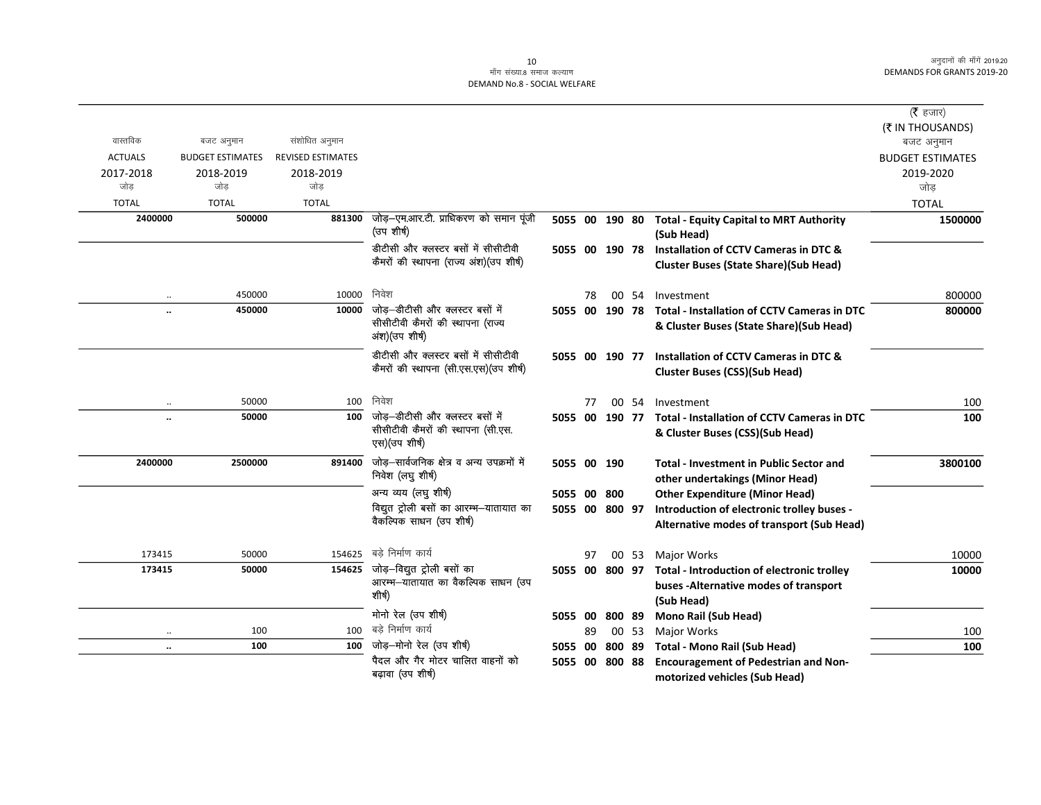## ्र<br>माँग संख्या.8 समाज कल्याण DEMAND No.8 - SOCIAL WELFARE

|                |                         |                          |                                                                                        |                |    |                |       |                                                                                       | ( $\bar{\tau}$ हजार)           |
|----------------|-------------------------|--------------------------|----------------------------------------------------------------------------------------|----------------|----|----------------|-------|---------------------------------------------------------------------------------------|--------------------------------|
| वास्तविक       | बजट अनुमान              | संशोधित अनुमान           |                                                                                        |                |    |                |       |                                                                                       | (₹ IN THOUSANDS)<br>बजट अनुमान |
| <b>ACTUALS</b> | <b>BUDGET ESTIMATES</b> | <b>REVISED ESTIMATES</b> |                                                                                        |                |    |                |       |                                                                                       | <b>BUDGET ESTIMATES</b>        |
| 2017-2018      | 2018-2019               | 2018-2019                |                                                                                        |                |    |                |       |                                                                                       | 2019-2020                      |
| जोड            | जोड                     | जोड                      |                                                                                        |                |    |                |       |                                                                                       | जोड़                           |
| <b>TOTAL</b>   | <b>TOTAL</b>            | <b>TOTAL</b>             |                                                                                        |                |    |                |       |                                                                                       | <b>TOTAL</b>                   |
| 2400000        | 500000                  | 881300                   | जोड़—एम.आर.टी. प्राधिकरण को समान पूंजी<br>(उप शीर्ष)                                   | 5055 00 190 80 |    |                |       | <b>Total - Equity Capital to MRT Authority</b>                                        | 1500000                        |
|                |                         |                          |                                                                                        |                |    |                |       | (Sub Head)                                                                            |                                |
|                |                         |                          | डीटीसी और क्लस्टर बसों में सीसीटीवी                                                    |                |    | 5055 00 190 78 |       | Installation of CCTV Cameras in DTC &                                                 |                                |
|                |                         |                          | कैमरों की स्थापना (राज्य अंश)(उप शीर्ष)                                                |                |    |                |       | <b>Cluster Buses (State Share)(Sub Head)</b>                                          |                                |
| $\ddotsc$      | 450000                  | 10000                    | निवेश                                                                                  |                | 78 |                |       | 00 54 Investment                                                                      | 800000                         |
|                | 450000                  | 10000                    | जोड़-डीटीसी और क्लस्टर बसों में                                                        |                |    |                |       | 5055 00 190 78 Total - Installation of CCTV Cameras in DTC                            | 800000                         |
|                |                         |                          | सीसीटीवी कैमरों की स्थापना (राज्य<br>अंश)(उप शीर्ष)                                    |                |    |                |       | & Cluster Buses (State Share)(Sub Head)                                               |                                |
|                |                         |                          | डीटीसी और क्लस्टर बसों में सीसीटीवी                                                    |                |    | 5055 00 190 77 |       | Installation of CCTV Cameras in DTC &                                                 |                                |
|                |                         |                          | कैमरों की स्थापना (सी.एस.एस) (उप शीर्ष)                                                |                |    |                |       | <b>Cluster Buses (CSS)(Sub Head)</b>                                                  |                                |
|                |                         |                          | निवेश                                                                                  |                |    |                |       |                                                                                       |                                |
| $\cdot\cdot$   | 50000                   | 100                      |                                                                                        |                | 77 |                | 00 54 | Investment                                                                            | 100                            |
| $\ddotsc$      | 50000                   | 100                      | जोड़-डीटीसी और क्लस्टर बसों में<br>सीसीटीवी कैमरों की स्थापना (सी.एस.<br>एस)(उप शीर्ष) | 5055 00        |    | 190 77         |       | <b>Total - Installation of CCTV Cameras in DTC</b><br>& Cluster Buses (CSS)(Sub Head) | 100                            |
| 2400000        | 2500000                 | 891400                   | जोड़–सार्वजनिक क्षेत्र व अन्य उपक्रमों में<br>निवेश (लघु शीर्ष)                        | 5055 00 190    |    |                |       | <b>Total - Investment in Public Sector and</b><br>other undertakings (Minor Head)     | 3800100                        |
|                |                         |                          | अन्य व्यय (लघु शीर्ष)                                                                  | 5055 00 800    |    |                |       | <b>Other Expenditure (Minor Head)</b>                                                 |                                |
|                |                         |                          | विद्युत ट्रोली बसों का आरम्भ-यातायात का                                                | 5055 00 800 97 |    |                |       | Introduction of electronic trolley buses -                                            |                                |
|                |                         |                          | वैकल्पिक साधन (उप शीर्ष)                                                               |                |    |                |       | Alternative modes of transport (Sub Head)                                             |                                |
| 173415         | 50000                   | 154625                   | बडे निर्माण कार्य                                                                      |                | 97 |                |       | 00 53 Major Works                                                                     | 10000                          |
| 173415         | 50000                   |                          | $154625$ जोड़-विद्युत ट्रोली बसों का                                                   |                |    | 5055 00 800 97 |       | Total - Introduction of electronic trolley                                            | 10000                          |
|                |                         |                          | आरम्भ—यातायात का वैकल्पिक साधन (उप                                                     |                |    |                |       | buses - Alternative modes of transport                                                |                                |
|                |                         |                          | शीर्ष)                                                                                 |                |    |                |       | (Sub Head)                                                                            |                                |
|                |                         |                          | मोनो रेल (उप शीर्ष)                                                                    | 5055 00        |    | 800 89         |       | Mono Rail (Sub Head)                                                                  |                                |
| $\cdot\cdot$   | 100                     | 100                      | बडे निर्माण कार्य                                                                      |                | 89 |                | 00 53 | Major Works                                                                           | 100                            |
| $\ddotsc$      | 100                     | 100                      | जोड़-मोनो रेल (उप शीर्ष)                                                               | 5055 00        |    | 800 89         |       | <b>Total - Mono Rail (Sub Head)</b>                                                   | 100                            |
|                |                         |                          | पैदल और गैर मोटर चालित वाहनों को                                                       |                |    | 5055 00 800 88 |       | <b>Encouragement of Pedestrian and Non-</b>                                           |                                |
|                |                         |                          | बढ़ावा (उप शीर्ष)                                                                      |                |    |                |       | motorized vehicles (Sub Head)                                                         |                                |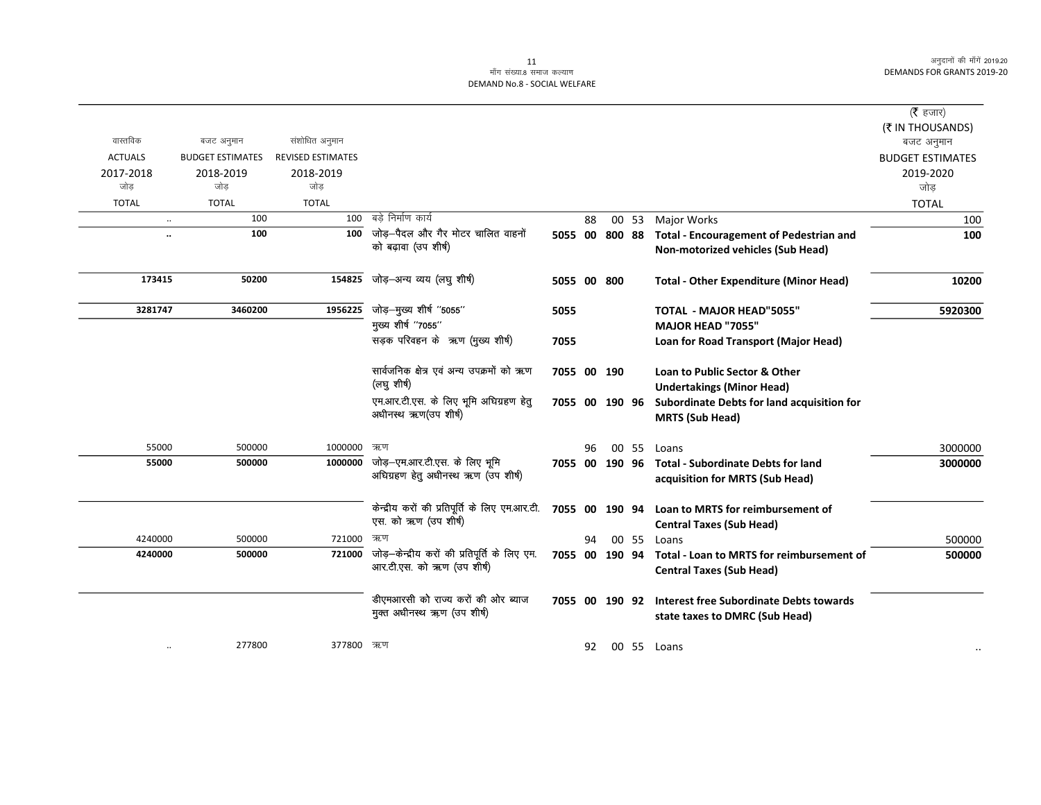| (रै हजार)               |                                                                                  |       |        |     |                |                                                                             |                          |                         |                      |
|-------------------------|----------------------------------------------------------------------------------|-------|--------|-----|----------------|-----------------------------------------------------------------------------|--------------------------|-------------------------|----------------------|
| (₹ IN THOUSANDS)        |                                                                                  |       |        |     |                |                                                                             |                          |                         |                      |
| बजट अनुमान              |                                                                                  |       |        |     |                |                                                                             | संशोधित अनुमान           | बजट अनुमान              | वास्तविक             |
| <b>BUDGET ESTIMATES</b> |                                                                                  |       |        |     |                |                                                                             | <b>REVISED ESTIMATES</b> | <b>BUDGET ESTIMATES</b> | <b>ACTUALS</b>       |
| 2019-2020<br>जोड        |                                                                                  |       |        |     |                |                                                                             | 2018-2019<br>जोड         | 2018-2019<br>जोड        | 2017-2018<br>जोड     |
| <b>TOTAL</b>            |                                                                                  |       |        |     |                |                                                                             | <b>TOTAL</b>             | <b>TOTAL</b>            | <b>TOTAL</b>         |
| 100                     | Major Works                                                                      | 00 53 |        | 88  |                | बडे निर्माण कार्य                                                           | 100                      | 100                     | $\ddotsc$            |
| 100                     | <b>Total - Encouragement of Pedestrian and</b>                                   |       | 800 88 |     | 5055 00        | जोड़–पैदल और गैर मोटर चालित वाहनों                                          | 100                      | 100                     | $\ddot{\phantom{0}}$ |
|                         | Non-motorized vehicles (Sub Head)                                                |       |        |     |                | को बढ़ावा (उप शीर्ष)                                                        |                          |                         |                      |
| 10200                   | <b>Total - Other Expenditure (Minor Head)</b>                                    |       |        |     | 5055 00 800    | जोड़–अन्य व्यय (लघु शीर्ष)                                                  | 154825                   | 50200                   | 173415               |
| 5920300                 | <b>TOTAL - MAJOR HEAD"5055"</b>                                                  |       |        |     | 5055           | जोड़-मुख्य शीर्ष "5055"                                                     | 1956225                  | 3460200                 | 3281747              |
|                         | <b>MAJOR HEAD "7055"</b>                                                         |       |        |     |                | मुख्य शीर्ष "7055"                                                          |                          |                         |                      |
|                         | Loan for Road Transport (Major Head)                                             |       |        |     | 7055           | सड़क परिवहन के ऋण (मुख्य शीर्ष)                                             |                          |                         |                      |
|                         | Loan to Public Sector & Other                                                    |       |        |     | 7055 00 190    | सार्वजनिक क्षेत्र एवं अन्य उपक्रमों को ऋण<br>(लघु शीर्ष)                    |                          |                         |                      |
|                         | <b>Undertakings (Minor Head)</b>                                                 |       |        |     |                | एम.आर.टी.एस. के लिए भूमि अधिग्रहण हेतु                                      |                          |                         |                      |
|                         | Subordinate Debts for land acquisition for<br><b>MRTS (Sub Head)</b>             |       | 190 96 |     | 7055 00        | अधीनस्थ ऋण(उप शीर्ष)                                                        |                          |                         |                      |
| 3000000                 | Loans                                                                            | 00 55 |        | 96  |                | ऋण                                                                          | 1000000                  | 500000                  | 55000                |
| 3000000                 | <b>Total - Subordinate Debts for land</b><br>acquisition for MRTS (Sub Head)     |       |        |     | 7055 00 190 96 | जोड़-एम.आर.टी.एस. के लिए भूमि<br>अधिग्रहण हेतु अधीनस्थ ऋण (उप शीर्ष)        | 1000000                  | 500000                  | 55000                |
|                         | Loan to MRTS for reimbursement of<br><b>Central Taxes (Sub Head)</b>             |       |        |     | 7055 00 190 94 | केन्द्रीय करों की प्रतिपूर्ति के लिए एम.आर.टी.<br>एस. को ऋण (उप शीर्ष)      |                          |                         |                      |
| 500000                  | Loans                                                                            | 00 55 |        | 94  |                | ऋण                                                                          | 721000                   | 500000                  | 4240000              |
| 500000                  | Total - Loan to MRTS for reimbursement of<br><b>Central Taxes (Sub Head)</b>     |       | 190 94 |     | 7055 00        | जोड़—केन्द्रीय करों की प्रतिपूर्ति के लिए एम.<br>आर.टी.एस. को ऋण (उप शीर्ष) | 721000                   | 500000                  | 4240000              |
|                         | <b>Interest free Subordinate Debts towards</b><br>state taxes to DMRC (Sub Head) |       |        |     | 7055 00 190 92 | डीएमआरसी को राज्य करों की ओर ब्याज<br>मुक्त अधीनस्थ ऋण (उप शीर्ष)           |                          |                         |                      |
|                         | 00 55 Loans                                                                      |       |        | 92. |                |                                                                             | 377800 ऋण                | 277800                  | $\ddotsc$            |